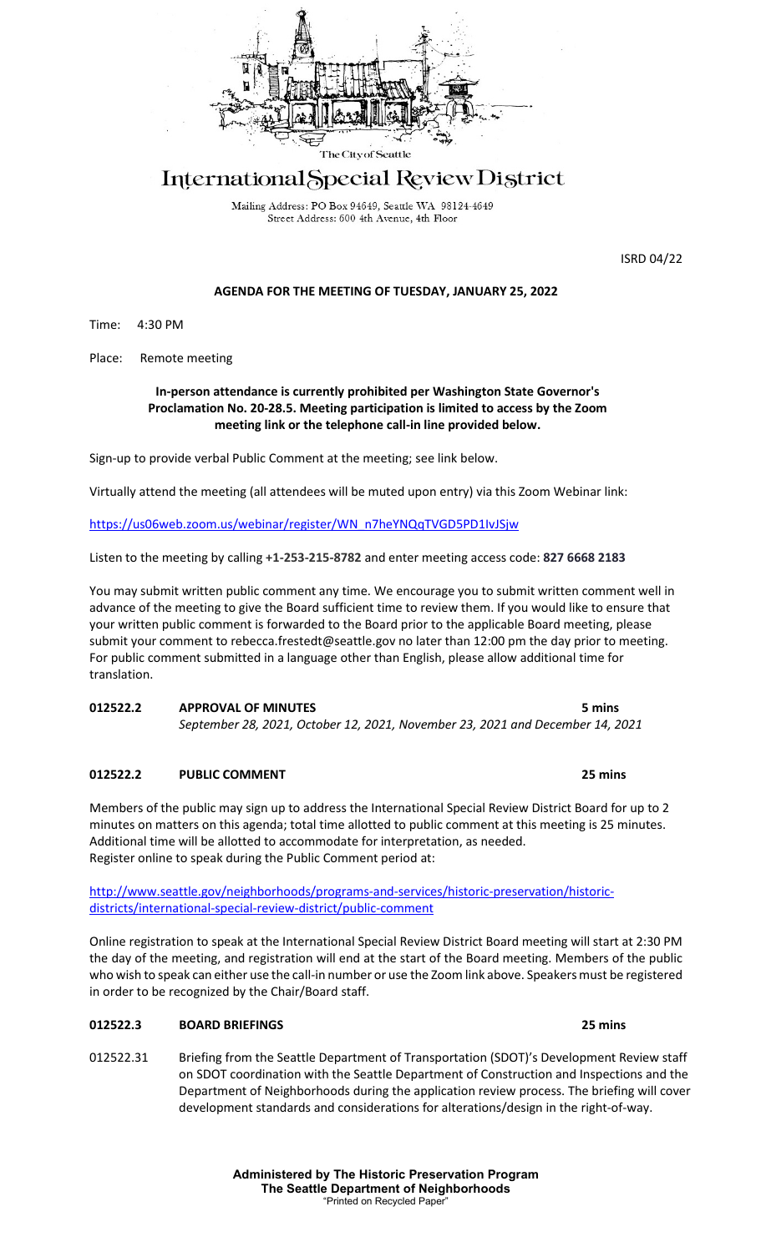

# International Special Review District

Mailing Address: PO Box 94649, Seattle WA 98124-4649 Street Address: 600 4th Avenue, 4th Floor

ISRD 04/22

# **AGENDA FOR THE MEETING OF TUESDAY, JANUARY 25, 2022**

Time: 4:30 PM

Place: Remote meeting

# **In-person attendance is currently prohibited per Washington State Governor's Proclamation No. 20-28.5. Meeting participation is limited to access by the Zoom meeting link or the telephone call-in line provided below.**

Sign-up to provide verbal Public Comment at the meeting; see link below.

Virtually attend the meeting (all attendees will be muted upon entry) via this Zoom Webinar link:

[https://us06web.zoom.us/webinar/register/WN\\_n7heYNQqTVGD5PD1IvJSjw](https://us06web.zoom.us/webinar/register/WN_n7heYNQqTVGD5PD1IvJSjw)

Listen to the meeting by calling **+1-253-215-8782** and enter meeting access code: **827 6668 2183**

You may submit written public comment any time. We encourage you to submit written comment well in advance of the meeting to give the Board sufficient time to review them. If you would like to ensure that your written public comment is forwarded to the Board prior to the applicable Board meeting, please submit your comment to rebecca.frestedt@seattle.gov no later than 12:00 pm the day prior to meeting. For public comment submitted in a language other than English, please allow additional time for translation.

**012522.2 APPROVAL OF MINUTES 5 mins** *September 28, 2021, October 12, 2021, November 23, 2021 and December 14, 2021*

# **012522.2 PUBLIC COMMENT 25 mins**

Members of the public may sign up to address the International Special Review District Board for up to 2 minutes on matters on this agenda; total time allotted to public comment at this meeting is 25 minutes. Additional time will be allotted to accommodate for interpretation, as needed. Register online to speak during the Public Comment period at:

[http://www.seattle.gov/neighborhoods/programs-and-services/historic-preservation/historic](http://www.seattle.gov/neighborhoods/programs-and-services/historic-preservation/historic-districts/international-special-review-district/public-comment)[districts/international-special-review-district/public-comment](http://www.seattle.gov/neighborhoods/programs-and-services/historic-preservation/historic-districts/international-special-review-district/public-comment)

Online registration to speak at the International Special Review District Board meeting will start at 2:30 PM the day of the meeting, and registration will end at the start of the Board meeting. Members of the public who wish to speak can either use the call-in number or use the Zoom link above. Speakers must be registered in order to be recognized by the Chair/Board staff.

# **012522.3 BOARD BRIEFINGS 25 mins**

012522.31 Briefing from the Seattle Department of Transportation (SDOT)'s Development Review staff on SDOT coordination with the Seattle Department of Construction and Inspections and the Department of Neighborhoods during the application review process. The briefing will cover development standards and considerations for alterations/design in the right-of-way.